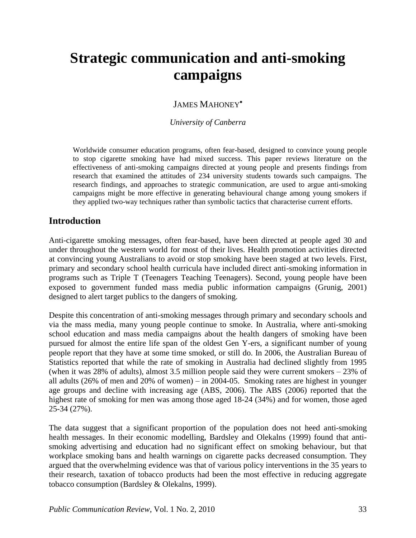# **Strategic communication and anti-smoking campaigns**

# JAMES MAHONEY

#### *University of Canberra*

Worldwide consumer education programs, often fear-based, designed to convince young people to stop cigarette smoking have had mixed success. This paper reviews literature on the effectiveness of anti-smoking campaigns directed at young people and presents findings from research that examined the attitudes of 234 university students towards such campaigns. The research findings, and approaches to strategic communication, are used to argue anti-smoking campaigns might be more effective in generating behavioural change among young smokers if they applied two-way techniques rather than symbolic tactics that characterise current efforts.

## **Introduction**

Anti-cigarette smoking messages, often fear-based, have been directed at people aged 30 and under throughout the western world for most of their lives. Health promotion activities directed at convincing young Australians to avoid or stop smoking have been staged at two levels. First, primary and secondary school health curricula have included direct anti-smoking information in programs such as Triple T (Teenagers Teaching Teenagers). Second, young people have been exposed to government funded mass media public information campaigns (Grunig, 2001) designed to alert target publics to the dangers of smoking.

Despite this concentration of anti-smoking messages through primary and secondary schools and via the mass media, many young people continue to smoke. In Australia, where anti-smoking school education and mass media campaigns about the health dangers of smoking have been pursued for almost the entire life span of the oldest Gen Y-ers, a significant number of young people report that they have at some time smoked, or still do. In 2006, the Australian Bureau of Statistics reported that while the rate of smoking in Australia had declined slightly from 1995 (when it was 28% of adults), almost 3.5 million people said they were current smokers – 23% of all adults (26% of men and 20% of women) – in 2004-05. Smoking rates are highest in younger age groups and decline with increasing age (ABS, 2006). The ABS (2006) reported that the highest rate of smoking for men was among those aged 18-24 (34%) and for women, those aged 25-34 (27%).

The data suggest that a significant proportion of the population does not heed anti-smoking health messages. In their economic modelling, Bardsley and Olekalns (1999) found that antismoking advertising and education had no significant effect on smoking behaviour, but that workplace smoking bans and health warnings on cigarette packs decreased consumption. They argued that the overwhelming evidence was that of various policy interventions in the 35 years to their research, taxation of tobacco products had been the most effective in reducing aggregate tobacco consumption (Bardsley & Olekalns, 1999).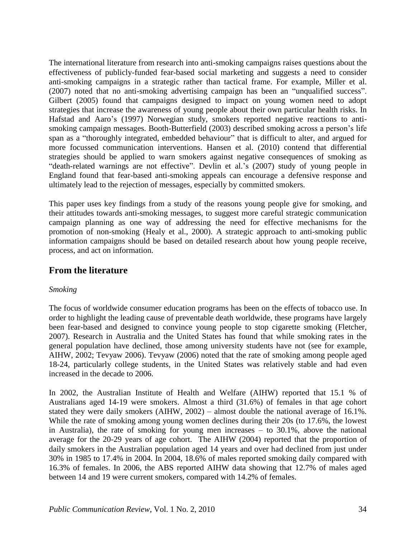The international literature from research into anti-smoking campaigns raises questions about the effectiveness of publicly-funded fear-based social marketing and suggests a need to consider anti-smoking campaigns in a strategic rather than tactical frame. For example, Miller et al. (2007) noted that no anti-smoking advertising campaign has been an "unqualified success". Gilbert (2005) found that campaigns designed to impact on young women need to adopt strategies that increase the awareness of young people about their own particular health risks. In Hafstad and Aaro's (1997) Norwegian study, smokers reported negative reactions to antismoking campaign messages. Booth-Butterfield (2003) described smoking across a person's life span as a "thoroughly integrated, embedded behaviour" that is difficult to alter, and argued for more focussed communication interventions. Hansen et al. (2010) contend that differential strategies should be applied to warn smokers against negative consequences of smoking as "death-related warnings are not effective". Devlin et al."s (2007) study of young people in England found that fear-based anti-smoking appeals can encourage a defensive response and ultimately lead to the rejection of messages, especially by committed smokers.

This paper uses key findings from a study of the reasons young people give for smoking, and their attitudes towards anti-smoking messages, to suggest more careful strategic communication campaign planning as one way of addressing the need for effective mechanisms for the promotion of non-smoking (Healy et al., 2000). A strategic approach to anti-smoking public information campaigns should be based on detailed research about how young people receive, process, and act on information.

# **From the literature**

#### *Smoking*

The focus of worldwide consumer education programs has been on the effects of tobacco use. In order to highlight the leading cause of preventable death worldwide, these programs have largely been fear-based and designed to convince young people to stop cigarette smoking (Fletcher, 2007). Research in Australia and the United States has found that while smoking rates in the general population have declined, those among university students have not (see for example, AIHW, 2002; Tevyaw 2006). Tevyaw (2006) noted that the rate of smoking among people aged 18-24, particularly college students, in the United States was relatively stable and had even increased in the decade to 2006.

In 2002, the Australian Institute of Health and Welfare (AIHW) reported that 15.1 % of Australians aged 14-19 were smokers. Almost a third (31.6%) of females in that age cohort stated they were daily smokers (AIHW, 2002) – almost double the national average of 16.1%. While the rate of smoking among young women declines during their 20s (to 17.6%, the lowest in Australia), the rate of smoking for young men increases – to 30.1%, above the national average for the 20-29 years of age cohort. The AIHW (2004) reported that the proportion of daily smokers in the Australian population aged 14 years and over had declined from just under 30% in 1985 to 17.4% in 2004. In 2004, 18.6% of males reported smoking daily compared with 16.3% of females. In 2006, the ABS reported AIHW data showing that 12.7% of males aged between 14 and 19 were current smokers, compared with 14.2% of females.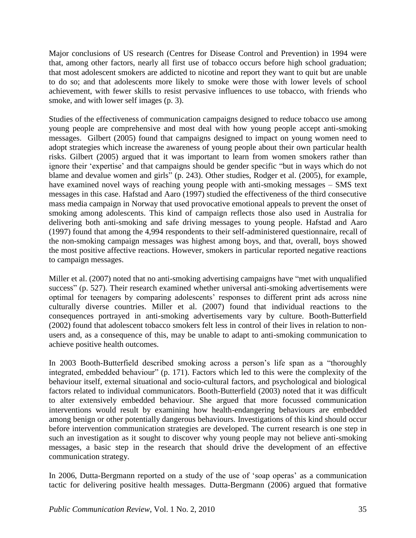Major conclusions of US research (Centres for Disease Control and Prevention) in 1994 were that, among other factors, nearly all first use of tobacco occurs before high school graduation; that most adolescent smokers are addicted to nicotine and report they want to quit but are unable to do so; and that adolescents more likely to smoke were those with lower levels of school achievement, with fewer skills to resist pervasive influences to use tobacco, with friends who smoke, and with lower self images (p. 3).

Studies of the effectiveness of communication campaigns designed to reduce tobacco use among young people are comprehensive and most deal with how young people accept anti-smoking messages. Gilbert (2005) found that campaigns designed to impact on young women need to adopt strategies which increase the awareness of young people about their own particular health risks. Gilbert (2005) argued that it was important to learn from women smokers rather than ignore their "expertise" and that campaigns should be gender specific "but in ways which do not blame and devalue women and girls" (p. 243). Other studies, Rodger et al. (2005), for example, have examined novel ways of reaching young people with anti-smoking messages – SMS text messages in this case. Hafstad and Aaro (1997) studied the effectiveness of the third consecutive mass media campaign in Norway that used provocative emotional appeals to prevent the onset of smoking among adolescents. This kind of campaign reflects those also used in Australia for delivering both anti-smoking and safe driving messages to young people. Hafstad and Aaro (1997) found that among the 4,994 respondents to their self-administered questionnaire, recall of the non-smoking campaign messages was highest among boys, and that, overall, boys showed the most positive affective reactions. However, smokers in particular reported negative reactions to campaign messages.

Miller et al. (2007) noted that no anti-smoking advertising campaigns have "met with unqualified success" (p. 527). Their research examined whether universal anti-smoking advertisements were optimal for teenagers by comparing adolescents" responses to different print ads across nine culturally diverse countries. Miller et al. (2007) found that individual reactions to the consequences portrayed in anti-smoking advertisements vary by culture. Booth-Butterfield (2002) found that adolescent tobacco smokers felt less in control of their lives in relation to nonusers and, as a consequence of this, may be unable to adapt to anti-smoking communication to achieve positive health outcomes.

In 2003 Booth-Butterfield described smoking across a person's life span as a "thoroughly integrated, embedded behaviour" (p. 171). Factors which led to this were the complexity of the behaviour itself, external situational and socio-cultural factors, and psychological and biological factors related to individual communicators. Booth-Butterfield (2003) noted that it was difficult to alter extensively embedded behaviour. She argued that more focussed communication interventions would result by examining how health-endangering behaviours are embedded among benign or other potentially dangerous behaviours. Investigations of this kind should occur before intervention communication strategies are developed. The current research is one step in such an investigation as it sought to discover why young people may not believe anti-smoking messages, a basic step in the research that should drive the development of an effective communication strategy.

In 2006, Dutta-Bergmann reported on a study of the use of 'soap operas' as a communication tactic for delivering positive health messages. Dutta-Bergmann (2006) argued that formative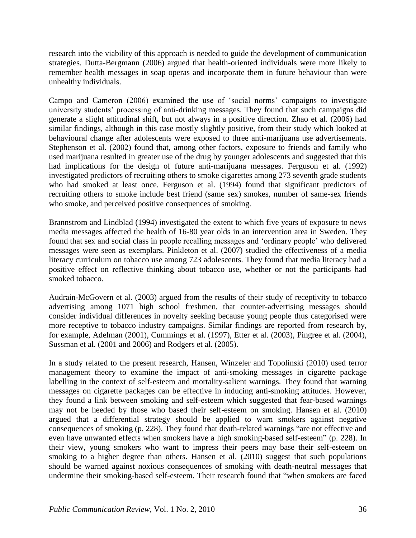research into the viability of this approach is needed to guide the development of communication strategies. Dutta-Bergmann (2006) argued that health-oriented individuals were more likely to remember health messages in soap operas and incorporate them in future behaviour than were unhealthy individuals.

Campo and Cameron (2006) examined the use of "social norms" campaigns to investigate university students" processing of anti-drinking messages. They found that such campaigns did generate a slight attitudinal shift, but not always in a positive direction. Zhao et al. (2006) had similar findings, although in this case mostly slightly positive, from their study which looked at behavioural change after adolescents were exposed to three anti-marijuana use advertisements. Stephenson et al. (2002) found that, among other factors, exposure to friends and family who used marijuana resulted in greater use of the drug by younger adolescents and suggested that this had implications for the design of future anti-marijuana messages. Ferguson et al. (1992) investigated predictors of recruiting others to smoke cigarettes among 273 seventh grade students who had smoked at least once. Ferguson et al. (1994) found that significant predictors of recruiting others to smoke include best friend (same sex) smokes, number of same-sex friends who smoke, and perceived positive consequences of smoking.

Brannstrom and Lindblad (1994) investigated the extent to which five years of exposure to news media messages affected the health of 16-80 year olds in an intervention area in Sweden. They found that sex and social class in people recalling messages and "ordinary people" who delivered messages were seen as exemplars. Pinkleton et al. (2007) studied the effectiveness of a media literacy curriculum on tobacco use among 723 adolescents. They found that media literacy had a positive effect on reflective thinking about tobacco use, whether or not the participants had smoked tobacco.

Audrain-McGovern et al. (2003) argued from the results of their study of receptivity to tobacco advertising among 1071 high school freshmen, that counter-advertising messages should consider individual differences in novelty seeking because young people thus categorised were more receptive to tobacco industry campaigns. Similar findings are reported from research by, for example, Adelman (2001), Cummings et al. (1997), Etter et al. (2003), Pingree et al. (2004), Sussman et al. (2001 and 2006) and Rodgers et al. (2005).

In a study related to the present research, Hansen, Winzeler and Topolinski (2010) used terror management theory to examine the impact of anti-smoking messages in cigarette package labelling in the context of self-esteem and mortality-salient warnings. They found that warning messages on cigarette packages can be effective in inducing anti-smoking attitudes. However, they found a link between smoking and self-esteem which suggested that fear-based warnings may not be heeded by those who based their self-esteem on smoking. Hansen et al. (2010) argued that a differential strategy should be applied to warn smokers against negative consequences of smoking (p. 228). They found that death-related warnings "are not effective and even have unwanted effects when smokers have a high smoking-based self-esteem" (p. 228). In their view, young smokers who want to impress their peers may base their self-esteem on smoking to a higher degree than others. Hansen et al. (2010) suggest that such populations should be warned against noxious consequences of smoking with death-neutral messages that undermine their smoking-based self-esteem. Their research found that "when smokers are faced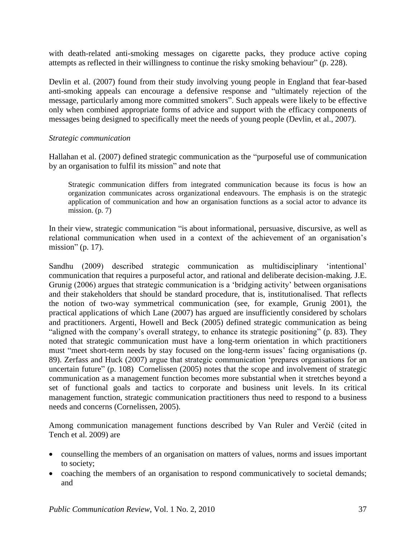with death-related anti-smoking messages on cigarette packs, they produce active coping attempts as reflected in their willingness to continue the risky smoking behaviour" (p. 228).

Devlin et al. (2007) found from their study involving young people in England that fear-based anti-smoking appeals can encourage a defensive response and "ultimately rejection of the message, particularly among more committed smokers". Such appeals were likely to be effective only when combined appropriate forms of advice and support with the efficacy components of messages being designed to specifically meet the needs of young people (Devlin, et al., 2007).

#### *Strategic communication*

Hallahan et al. (2007) defined strategic communication as the "purposeful use of communication by an organisation to fulfil its mission" and note that

Strategic communication differs from integrated communication because its focus is how an organization communicates across organizational endeavours. The emphasis is on the strategic application of communication and how an organisation functions as a social actor to advance its mission.  $(p. 7)$ 

In their view, strategic communication "is about informational, persuasive, discursive, as well as relational communication when used in a context of the achievement of an organisation"s mission" (p. 17).

Sandhu (2009) described strategic communication as multidisciplinary "intentional" communication that requires a purposeful actor, and rational and deliberate decision-making. J.E. Grunig (2006) argues that strategic communication is a "bridging activity" between organisations and their stakeholders that should be standard procedure, that is, institutionalised. That reflects the notion of two-way symmetrical communication (see, for example, Grunig 2001), the practical applications of which Lane (2007) has argued are insufficiently considered by scholars and practitioners. Argenti, Howell and Beck (2005) defined strategic communication as being "aligned with the company"s overall strategy, to enhance its strategic positioning" (p. 83). They noted that strategic communication must have a long-term orientation in which practitioners must "meet short-term needs by stay focused on the long-term issues' facing organisations (p. 89). Zerfass and Huck (2007) argue that strategic communication "prepares organisations for an uncertain future" (p. 108) Cornelissen (2005) notes that the scope and involvement of strategic communication as a management function becomes more substantial when it stretches beyond a set of functional goals and tactics to corporate and business unit levels. In its critical management function, strategic communication practitioners thus need to respond to a business needs and concerns (Cornelissen, 2005).

Among communication management functions described by Van Ruler and Verčič (cited in Tench et al. 2009) are

- counselling the members of an organisation on matters of values, norms and issues important to society;
- coaching the members of an organisation to respond communicatively to societal demands; and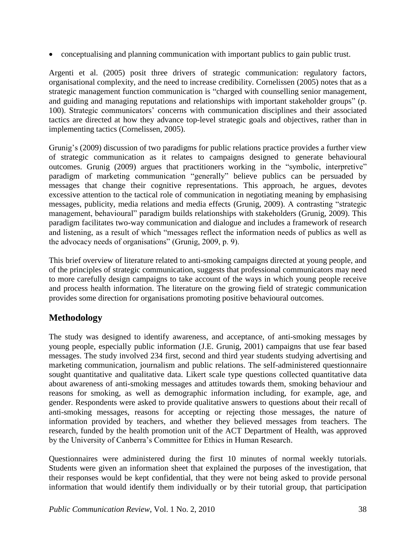• conceptualising and planning communication with important publics to gain public trust.

Argenti et al. (2005) posit three drivers of strategic communication: regulatory factors, organisational complexity, and the need to increase credibility. Cornelissen (2005) notes that as a strategic management function communication is "charged with counselling senior management, and guiding and managing reputations and relationships with important stakeholder groups" (p. 100). Strategic communicators" concerns with communication disciplines and their associated tactics are directed at how they advance top-level strategic goals and objectives, rather than in implementing tactics (Cornelissen, 2005).

Grunig's (2009) discussion of two paradigms for public relations practice provides a further view of strategic communication as it relates to campaigns designed to generate behavioural outcomes. Grunig (2009) argues that practitioners working in the "symbolic, interpretive" paradigm of marketing communication "generally" believe publics can be persuaded by messages that change their cognitive representations. This approach, he argues, devotes excessive attention to the tactical role of communication in negotiating meaning by emphasising messages, publicity, media relations and media effects (Grunig, 2009). A contrasting "strategic management, behavioural" paradigm builds relationships with stakeholders (Grunig, 2009). This paradigm facilitates two-way communication and dialogue and includes a framework of research and listening, as a result of which "messages reflect the information needs of publics as well as the advocacy needs of organisations" (Grunig, 2009, p. 9).

This brief overview of literature related to anti-smoking campaigns directed at young people, and of the principles of strategic communication, suggests that professional communicators may need to more carefully design campaigns to take account of the ways in which young people receive and process health information. The literature on the growing field of strategic communication provides some direction for organisations promoting positive behavioural outcomes.

# **Methodology**

The study was designed to identify awareness, and acceptance, of anti-smoking messages by young people, especially public information (J.E. Grunig, 2001) campaigns that use fear based messages. The study involved 234 first, second and third year students studying advertising and marketing communication, journalism and public relations. The self-administered questionnaire sought quantitative and qualitative data. Likert scale type questions collected quantitative data about awareness of anti-smoking messages and attitudes towards them, smoking behaviour and reasons for smoking, as well as demographic information including, for example, age, and gender. Respondents were asked to provide qualitative answers to questions about their recall of anti-smoking messages, reasons for accepting or rejecting those messages, the nature of information provided by teachers, and whether they believed messages from teachers. The research, funded by the health promotion unit of the ACT Department of Health, was approved by the University of Canberra"s Committee for Ethics in Human Research.

Questionnaires were administered during the first 10 minutes of normal weekly tutorials. Students were given an information sheet that explained the purposes of the investigation, that their responses would be kept confidential, that they were not being asked to provide personal information that would identify them individually or by their tutorial group, that participation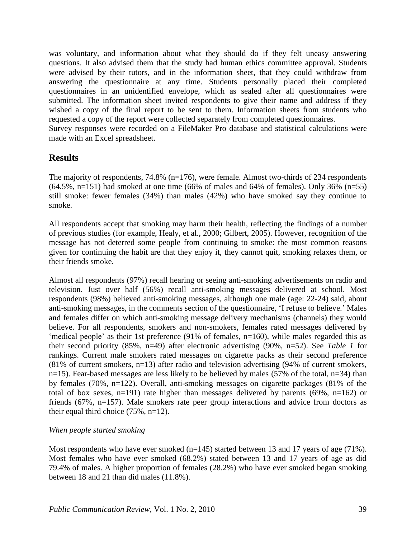was voluntary, and information about what they should do if they felt uneasy answering questions. It also advised them that the study had human ethics committee approval. Students were advised by their tutors, and in the information sheet, that they could withdraw from answering the questionnaire at any time. Students personally placed their completed questionnaires in an unidentified envelope, which as sealed after all questionnaires were submitted. The information sheet invited respondents to give their name and address if they wished a copy of the final report to be sent to them. Information sheets from students who requested a copy of the report were collected separately from completed questionnaires.

Survey responses were recorded on a FileMaker Pro database and statistical calculations were made with an Excel spreadsheet.

## **Results**

The majority of respondents, 74.8% (n=176), were female. Almost two-thirds of 234 respondents  $(64.5\%, n=151)$  had smoked at one time  $(66\% \text{ of males and } 64\% \text{ of females})$ . Only 36%  $(n=55)$ still smoke: fewer females (34%) than males (42%) who have smoked say they continue to smoke.

All respondents accept that smoking may harm their health, reflecting the findings of a number of previous studies (for example, Healy, et al., 2000; Gilbert, 2005). However, recognition of the message has not deterred some people from continuing to smoke: the most common reasons given for continuing the habit are that they enjoy it, they cannot quit, smoking relaxes them, or their friends smoke.

Almost all respondents (97%) recall hearing or seeing anti-smoking advertisements on radio and television. Just over half (56%) recall anti-smoking messages delivered at school. Most respondents (98%) believed anti-smoking messages, although one male (age: 22-24) said, about anti-smoking messages, in the comments section of the questionnaire, "I refuse to believe." Males and females differ on which anti-smoking message delivery mechanisms (channels) they would believe. For all respondents, smokers and non-smokers, females rated messages delivered by 'medical people' as their 1st preference  $(91\%$  of females, n=160), while males regarded this as their second priority (85%, n=49) after electronic advertising (90%, n=52). See *Table 1* for rankings. Current male smokers rated messages on cigarette packs as their second preference (81% of current smokers, n=13) after radio and television advertising (94% of current smokers, n=15). Fear-based messages are less likely to be believed by males (57% of the total, n=34) than by females (70%, n=122). Overall, anti-smoking messages on cigarette packages (81% of the total of box sexes,  $n=191$ ) rate higher than messages delivered by parents (69%,  $n=162$ ) or friends (67%, n=157). Male smokers rate peer group interactions and advice from doctors as their equal third choice  $(75\%, n=12)$ .

#### *When people started smoking*

Most respondents who have ever smoked  $(n=145)$  started between 13 and 17 years of age (71%). Most females who have ever smoked (68.2%) stated between 13 and 17 years of age as did 79.4% of males. A higher proportion of females (28.2%) who have ever smoked began smoking between 18 and 21 than did males (11.8%).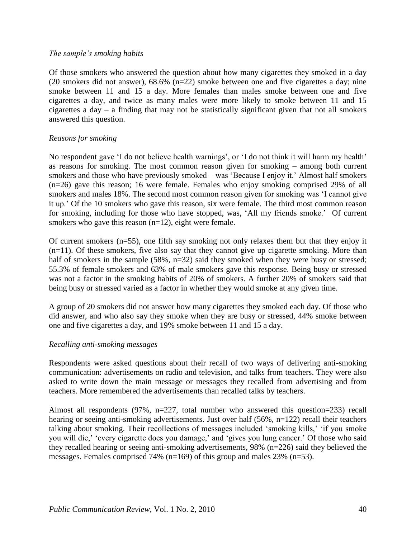#### *The sample's smoking habits*

Of those smokers who answered the question about how many cigarettes they smoked in a day (20 smokers did not answer), 68.6% (n=22) smoke between one and five cigarettes a day; nine smoke between 11 and 15 a day. More females than males smoke between one and five cigarettes a day, and twice as many males were more likely to smoke between 11 and 15 cigarettes a day – a finding that may not be statistically significant given that not all smokers answered this question.

#### *Reasons for smoking*

No respondent gave 'I do not believe health warnings', or 'I do not think it will harm my health' as reasons for smoking. The most common reason given for smoking – among both current smokers and those who have previously smoked – was 'Because I enjoy it.' Almost half smokers (n=26) gave this reason; 16 were female. Females who enjoy smoking comprised 29% of all smokers and males 18%. The second most common reason given for smoking was "I cannot give it up." Of the 10 smokers who gave this reason, six were female. The third most common reason for smoking, including for those who have stopped, was, "All my friends smoke." Of current smokers who gave this reason (n=12), eight were female.

Of current smokers (n=55), one fifth say smoking not only relaxes them but that they enjoy it  $(n=11)$ . Of these smokers, five also say that they cannot give up cigarette smoking. More than half of smokers in the sample (58%, n=32) said they smoked when they were busy or stressed; 55.3% of female smokers and 63% of male smokers gave this response. Being busy or stressed was not a factor in the smoking habits of 20% of smokers. A further 20% of smokers said that being busy or stressed varied as a factor in whether they would smoke at any given time.

A group of 20 smokers did not answer how many cigarettes they smoked each day. Of those who did answer, and who also say they smoke when they are busy or stressed, 44% smoke between one and five cigarettes a day, and 19% smoke between 11 and 15 a day.

#### *Recalling anti-smoking messages*

Respondents were asked questions about their recall of two ways of delivering anti-smoking communication: advertisements on radio and television, and talks from teachers. They were also asked to write down the main message or messages they recalled from advertising and from teachers. More remembered the advertisements than recalled talks by teachers.

Almost all respondents  $(97\%, n=227, \text{ total number who answered this question}=233) \text{ recall}$ hearing or seeing anti-smoking advertisements. Just over half (56%, n=122) recall their teachers talking about smoking. Their recollections of messages included "smoking kills," "if you smoke you will die," 'every cigarette does you damage," and 'gives you lung cancer." Of those who said they recalled hearing or seeing anti-smoking advertisements, 98% (n=226) said they believed the messages. Females comprised 74% (n=169) of this group and males 23% (n=53).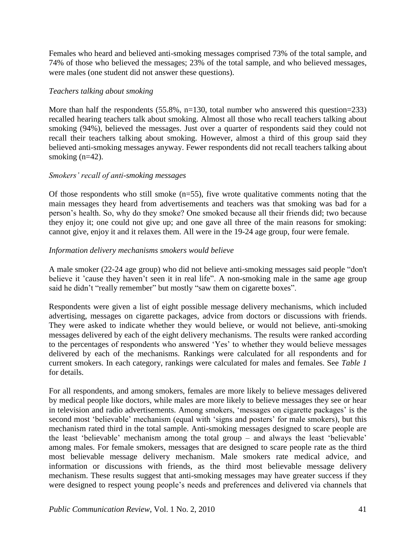Females who heard and believed anti-smoking messages comprised 73% of the total sample, and 74% of those who believed the messages; 23% of the total sample, and who believed messages, were males (one student did not answer these questions).

#### *Teachers talking about smoking*

More than half the respondents (55.8%, n=130, total number who answered this question=233) recalled hearing teachers talk about smoking. Almost all those who recall teachers talking about smoking (94%), believed the messages. Just over a quarter of respondents said they could not recall their teachers talking about smoking. However, almost a third of this group said they believed anti-smoking messages anyway. Fewer respondents did not recall teachers talking about smoking  $(n=42)$ .

#### *Smokers' recall of anti-smoking messages*

Of those respondents who still smoke  $(n=55)$ , five wrote qualitative comments noting that the main messages they heard from advertisements and teachers was that smoking was bad for a person"s health. So, why do they smoke? One smoked because all their friends did; two because they enjoy it; one could not give up; and one gave all three of the main reasons for smoking: cannot give, enjoy it and it relaxes them. All were in the 19-24 age group, four were female.

#### *Information delivery mechanisms smokers would believe*

A male smoker (22-24 age group) who did not believe anti-smoking messages said people "don't believe it 'cause they haven't seen it in real life". A non-smoking male in the same age group said he didn't "really remember" but mostly "saw them on cigarette boxes".

Respondents were given a list of eight possible message delivery mechanisms, which included advertising, messages on cigarette packages, advice from doctors or discussions with friends. They were asked to indicate whether they would believe, or would not believe, anti-smoking messages delivered by each of the eight delivery mechanisms. The results were ranked according to the percentages of respondents who answered "Yes" to whether they would believe messages delivered by each of the mechanisms. Rankings were calculated for all respondents and for current smokers. In each category, rankings were calculated for males and females. See *Table 1* for details.

For all respondents, and among smokers, females are more likely to believe messages delivered by medical people like doctors, while males are more likely to believe messages they see or hear in television and radio advertisements. Among smokers, 'messages on cigarette packages' is the second most 'believable' mechanism (equal with 'signs and posters' for male smokers), but this mechanism rated third in the total sample. Anti-smoking messages designed to scare people are the least "believable" mechanism among the total group – and always the least "believable" among males. For female smokers, messages that are designed to scare people rate as the third most believable message delivery mechanism. Male smokers rate medical advice, and information or discussions with friends, as the third most believable message delivery mechanism. These results suggest that anti-smoking messages may have greater success if they were designed to respect young people"s needs and preferences and delivered via channels that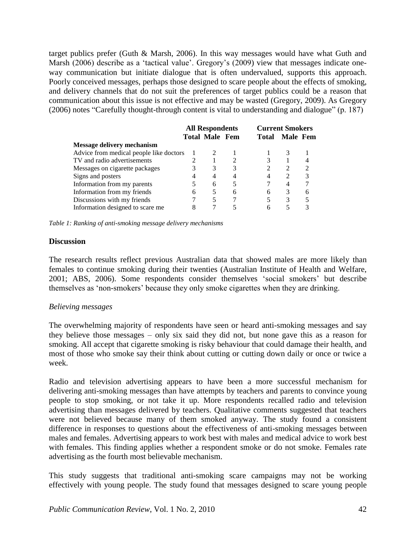target publics prefer (Guth & Marsh, 2006). In this way messages would have what Guth and Marsh (2006) describe as a 'tactical value'. Gregory's (2009) view that messages indicate oneway communication but initiate dialogue that is often undervalued, supports this approach. Poorly conceived messages, perhaps those designed to scare people about the effects of smoking, and delivery channels that do not suit the preferences of target publics could be a reason that communication about this issue is not effective and may be wasted (Gregory, 2009). As Gregory (2006) notes "Carefully thought-through content is vital to understanding and dialogue" (p. 187)

|                                         |   | <b>All Respondents</b> |   | <b>Current Smokers</b> |          |  |
|-----------------------------------------|---|------------------------|---|------------------------|----------|--|
|                                         |   | <b>Total Male Fem</b>  |   | Total                  | Male Fem |  |
| <b>Message delivery mechanism</b>       |   |                        |   |                        |          |  |
| Advice from medical people like doctors |   |                        |   |                        | 3        |  |
| TV and radio advertisements             |   |                        |   |                        |          |  |
| Messages on cigarette packages          |   | 3                      | 3 |                        |          |  |
| Signs and posters                       |   | 4                      |   |                        | 2        |  |
| Information from my parents             |   | 6                      |   |                        |          |  |
| Information from my friends             | 6 | 5                      | 6 | 6                      | 3        |  |
| Discussions with my friends             |   |                        |   |                        | 3        |  |
| Information designed to scare me        |   |                        |   |                        |          |  |

*Table 1: Ranking of anti-smoking message delivery mechanisms*

#### **Discussion**

The research results reflect previous Australian data that showed males are more likely than females to continue smoking during their twenties (Australian Institute of Health and Welfare, 2001; ABS, 2006). Some respondents consider themselves "social smokers" but describe themselves as "non-smokers" because they only smoke cigarettes when they are drinking.

#### *Believing messages*

The overwhelming majority of respondents have seen or heard anti-smoking messages and say they believe those messages – only six said they did not, but none gave this as a reason for smoking. All accept that cigarette smoking is risky behaviour that could damage their health, and most of those who smoke say their think about cutting or cutting down daily or once or twice a week.

Radio and television advertising appears to have been a more successful mechanism for delivering anti-smoking messages than have attempts by teachers and parents to convince young people to stop smoking, or not take it up. More respondents recalled radio and television advertising than messages delivered by teachers. Qualitative comments suggested that teachers were not believed because many of them smoked anyway. The study found a consistent difference in responses to questions about the effectiveness of anti-smoking messages between males and females. Advertising appears to work best with males and medical advice to work best with females. This finding applies whether a respondent smoke or do not smoke. Females rate advertising as the fourth most believable mechanism.

This study suggests that traditional anti-smoking scare campaigns may not be working effectively with young people. The study found that messages designed to scare young people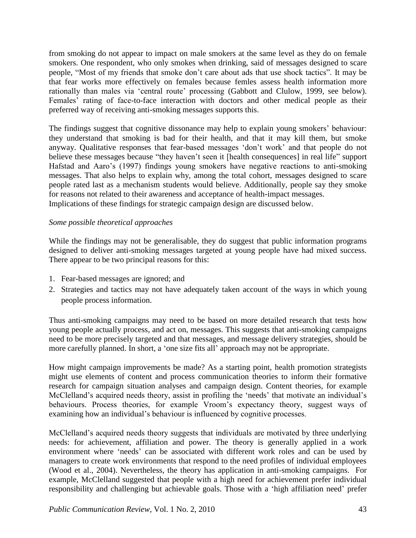from smoking do not appear to impact on male smokers at the same level as they do on female smokers. One respondent, who only smokes when drinking, said of messages designed to scare people, "Most of my friends that smoke don"t care about ads that use shock tactics". It may be that fear works more effectively on females because femles assess health information more rationally than males via 'central route' processing (Gabbott and Clulow, 1999, see below). Females' rating of face-to-face interaction with doctors and other medical people as their preferred way of receiving anti-smoking messages supports this.

The findings suggest that cognitive dissonance may help to explain young smokers' behaviour: they understand that smoking is bad for their health, and that it may kill them, but smoke anyway. Qualitative responses that fear-based messages "don"t work" and that people do not believe these messages because "they haven't seen it [health consequences] in real life" support Hafstad and Aaro"s (1997) findings young smokers have negative reactions to anti-smoking messages. That also helps to explain why, among the total cohort, messages designed to scare people rated last as a mechanism students would believe. Additionally, people say they smoke for reasons not related to their awareness and acceptance of health-impact messages. Implications of these findings for strategic campaign design are discussed below.

#### *Some possible theoretical approaches*

While the findings may not be generalisable, they do suggest that public information programs designed to deliver anti-smoking messages targeted at young people have had mixed success. There appear to be two principal reasons for this:

- 1. Fear-based messages are ignored; and
- 2. Strategies and tactics may not have adequately taken account of the ways in which young people process information.

Thus anti-smoking campaigns may need to be based on more detailed research that tests how young people actually process, and act on, messages. This suggests that anti-smoking campaigns need to be more precisely targeted and that messages, and message delivery strategies, should be more carefully planned. In short, a "one size fits all" approach may not be appropriate.

How might campaign improvements be made? As a starting point, health promotion strategists might use elements of content and process communication theories to inform their formative research for campaign situation analyses and campaign design. Content theories, for example McClelland's acquired needs theory, assist in profiling the 'needs' that motivate an individual's behaviours. Process theories, for example Vroom"s expectancy theory, suggest ways of examining how an individual's behaviour is influenced by cognitive processes.

McClelland"s acquired needs theory suggests that individuals are motivated by three underlying needs: for achievement, affiliation and power. The theory is generally applied in a work environment where "needs" can be associated with different work roles and can be used by managers to create work environments that respond to the need profiles of individual employees (Wood et al., 2004). Nevertheless, the theory has application in anti-smoking campaigns. For example, McClelland suggested that people with a high need for achievement prefer individual responsibility and challenging but achievable goals. Those with a "high affiliation need" prefer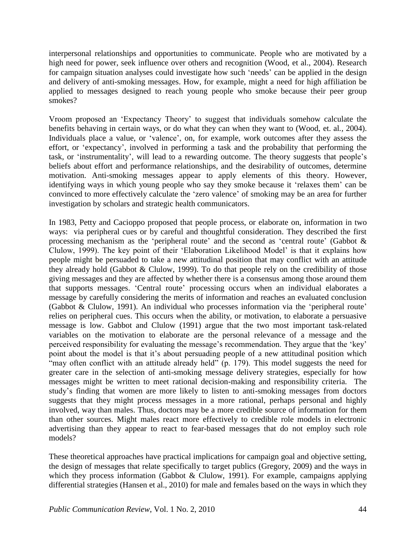interpersonal relationships and opportunities to communicate. People who are motivated by a high need for power, seek influence over others and recognition (Wood, et al., 2004). Research for campaign situation analyses could investigate how such "needs" can be applied in the design and delivery of anti-smoking messages. How, for example, might a need for high affiliation be applied to messages designed to reach young people who smoke because their peer group smokes?

Vroom proposed an "Expectancy Theory" to suggest that individuals somehow calculate the benefits behaving in certain ways, or do what they can when they want to (Wood, et. al*.,* 2004). Individuals place a value, or 'valence', on, for example, work outcomes after they assess the effort, or "expectancy", involved in performing a task and the probability that performing the task, or 'instrumentality', will lead to a rewarding outcome. The theory suggests that people's beliefs about effort and performance relationships, and the desirability of outcomes, determine motivation. Anti-smoking messages appear to apply elements of this theory. However, identifying ways in which young people who say they smoke because it "relaxes them" can be convinced to more effectively calculate the "zero valence" of smoking may be an area for further investigation by scholars and strategic health communicators.

In 1983, Petty and Cacioppo proposed that people process, or elaborate on, information in two ways: via peripheral cues or by careful and thoughtful consideration. They described the first processing mechanism as the 'peripheral route' and the second as 'central route' (Gabbot  $\&$ Clulow, 1999). The key point of their "Elaboration Likelihood Model" is that it explains how people might be persuaded to take a new attitudinal position that may conflict with an attitude they already hold (Gabbot & Clulow, 1999). To do that people rely on the credibility of those giving messages and they are affected by whether there is a consensus among those around them that supports messages. "Central route" processing occurs when an individual elaborates a message by carefully considering the merits of information and reaches an evaluated conclusion (Gabbot & Clulow, 1991). An individual who processes information via the "peripheral route" relies on peripheral cues. This occurs when the ability, or motivation, to elaborate a persuasive message is low. Gabbot and Clulow (1991) argue that the two most important task-related variables on the motivation to elaborate are the personal relevance of a message and the perceived responsibility for evaluating the message's recommendation. They argue that the 'key' point about the model is that it"s about persuading people of a new attitudinal position which "may often conflict with an attitude already held" (p. 179). This model suggests the need for greater care in the selection of anti-smoking message delivery strategies, especially for how messages might be written to meet rational decision-making and responsibility criteria. The study"s finding that women are more likely to listen to anti-smoking messages from doctors suggests that they might process messages in a more rational, perhaps personal and highly involved, way than males. Thus, doctors may be a more credible source of information for them than other sources. Might males react more effectively to credible role models in electronic advertising than they appear to react to fear-based messages that do not employ such role models?

These theoretical approaches have practical implications for campaign goal and objective setting, the design of messages that relate specifically to target publics (Gregory, 2009) and the ways in which they process information (Gabbot  $\&$  Clulow, 1991). For example, campaigns applying differential strategies (Hansen et al., 2010) for male and females based on the ways in which they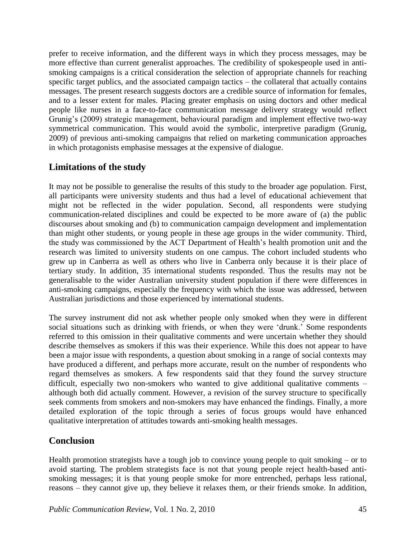prefer to receive information, and the different ways in which they process messages, may be more effective than current generalist approaches. The credibility of spokespeople used in antismoking campaigns is a critical consideration the selection of appropriate channels for reaching specific target publics, and the associated campaign tactics – the collateral that actually contains messages. The present research suggests doctors are a credible source of information for females, and to a lesser extent for males. Placing greater emphasis on using doctors and other medical people like nurses in a face-to-face communication message delivery strategy would reflect Grunig's (2009) strategic management, behavioural paradigm and implement effective two-way symmetrical communication. This would avoid the symbolic, interpretive paradigm (Grunig, 2009) of previous anti-smoking campaigns that relied on marketing communication approaches in which protagonists emphasise messages at the expensive of dialogue.

# **Limitations of the study**

It may not be possible to generalise the results of this study to the broader age population. First, all participants were university students and thus had a level of educational achievement that might not be reflected in the wider population. Second, all respondents were studying communication-related disciplines and could be expected to be more aware of (a) the public discourses about smoking and (b) to communication campaign development and implementation than might other students, or young people in these age groups in the wider community. Third, the study was commissioned by the ACT Department of Health's health promotion unit and the research was limited to university students on one campus. The cohort included students who grew up in Canberra as well as others who live in Canberra only because it is their place of tertiary study. In addition, 35 international students responded. Thus the results may not be generalisable to the wider Australian university student population if there were differences in anti-smoking campaigns, especially the frequency with which the issue was addressed, between Australian jurisdictions and those experienced by international students.

The survey instrument did not ask whether people only smoked when they were in different social situations such as drinking with friends, or when they were "drunk." Some respondents referred to this omission in their qualitative comments and were uncertain whether they should describe themselves as smokers if this was their experience. While this does not appear to have been a major issue with respondents, a question about smoking in a range of social contexts may have produced a different, and perhaps more accurate, result on the number of respondents who regard themselves as smokers. A few respondents said that they found the survey structure difficult, especially two non-smokers who wanted to give additional qualitative comments – although both did actually comment. However, a revision of the survey structure to specifically seek comments from smokers and non-smokers may have enhanced the findings. Finally, a more detailed exploration of the topic through a series of focus groups would have enhanced qualitative interpretation of attitudes towards anti-smoking health messages.

## **Conclusion**

Health promotion strategists have a tough job to convince young people to quit smoking – or to avoid starting. The problem strategists face is not that young people reject health-based antismoking messages; it is that young people smoke for more entrenched, perhaps less rational, reasons – they cannot give up, they believe it relaxes them, or their friends smoke. In addition,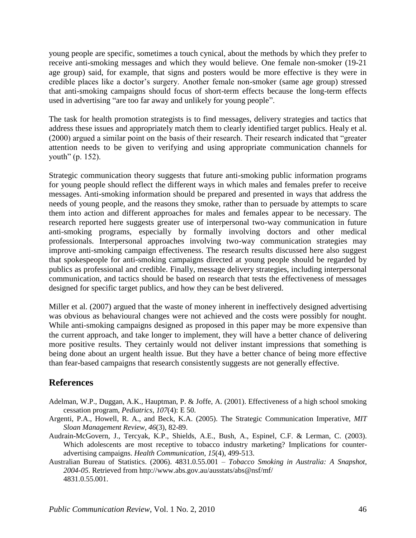young people are specific, sometimes a touch cynical, about the methods by which they prefer to receive anti-smoking messages and which they would believe. One female non-smoker (19-21 age group) said, for example, that signs and posters would be more effective is they were in credible places like a doctor"s surgery. Another female non-smoker (same age group) stressed that anti-smoking campaigns should focus of short-term effects because the long-term effects used in advertising "are too far away and unlikely for young people".

The task for health promotion strategists is to find messages, delivery strategies and tactics that address these issues and appropriately match them to clearly identified target publics. Healy et al. (2000) argued a similar point on the basis of their research. Their research indicated that "greater attention needs to be given to verifying and using appropriate communication channels for youth" (p. 152).

Strategic communication theory suggests that future anti-smoking public information programs for young people should reflect the different ways in which males and females prefer to receive messages. Anti-smoking information should be prepared and presented in ways that address the needs of young people, and the reasons they smoke, rather than to persuade by attempts to scare them into action and different approaches for males and females appear to be necessary. The research reported here suggests greater use of interpersonal two-way communication in future anti-smoking programs, especially by formally involving doctors and other medical professionals. Interpersonal approaches involving two-way communication strategies may improve anti-smoking campaign effectiveness. The research results discussed here also suggest that spokespeople for anti-smoking campaigns directed at young people should be regarded by publics as professional and credible. Finally, message delivery strategies, including interpersonal communication, and tactics should be based on research that tests the effectiveness of messages designed for specific target publics, and how they can be best delivered.

Miller et al. (2007) argued that the waste of money inherent in ineffectively designed advertising was obvious as behavioural changes were not achieved and the costs were possibly for nought. While anti-smoking campaigns designed as proposed in this paper may be more expensive than the current approach, and take longer to implement, they will have a better chance of delivering more positive results. They certainly would not deliver instant impressions that something is being done about an urgent health issue. But they have a better chance of being more effective than fear-based campaigns that research consistently suggests are not generally effective.

## **References**

- Adelman, W.P., Duggan, A.K., Hauptman, P. & Joffe, A. (2001). Effectiveness of a high school smoking cessation program, *Pediatrics*, *107*(4): E 50.
- Argenti, P.A., Howell, R. A., and Beck, K.A. (2005). The Strategic Communication Imperative, *MIT Sloan Management Review*, *46*(3), 82-89.
- Audrain-McGovern, J., Tercyak, K.P., Shields, A.E., Bush, A., Espinel, C.F. & Lerman, C. (2003). Which adolescents are most receptive to tobacco industry marketing? Implications for counteradvertising campaigns. *Health Communication*, *15*(4), 499-513.
- Australian Bureau of Statistics. (2006). 4831.0.55.001 *Tobacco Smoking in Australia: A Snapshot, 2004-05*. Retrieved from http://www.abs.gov.au/ausstats/abs@nsf/mf/ 4831.0.55.001.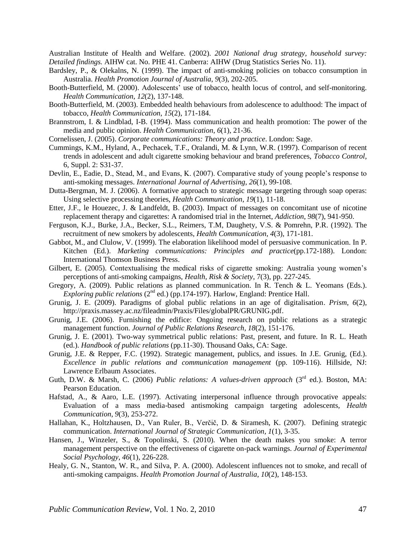Australian Institute of Health and Welfare. (2002). *2001 National drug strategy, household survey: Detailed findings.* AIHW cat. No. PHE 41. Canberra: AIHW (Drug Statistics Series No. 11).

- Bardsley, P., & Olekalns, N. (1999). The impact of anti-smoking policies on tobacco consumption in Australia. *Health Promotion Journal of Australia*, *9*(3), 202-205.
- Booth-Butterfield, M. (2000). Adolescents" use of tobacco, health locus of control, and self-monitoring. *Health Communication*, *12*(2), 137-148.
- Booth-Butterfield, M. (2003). Embedded health behaviours from adolescence to adulthood: The impact of tobacco, *Health Communication*, *15*(2), 171-184.
- Brannstrom, I. & Lindblad, I-B. (1994). Mass communication and health promotion: The power of the media and public opinion. *Health Communication*, *6*(1), 21-36.
- Cornelissen, J. (2005). *Corporate communications: Theory and practice*. London: Sage.
- Cummings, K.M., Hyland, A., Pechacek, T.F., Oralandi, M. & Lynn, W.R. (1997). Comparison of recent trends in adolescent and adult cigarette smoking behaviour and brand preferences, *Tobacco Control*, 6, Suppl. 2: S31-37.
- Devlin, E., Eadie, D., Stead, M., and Evans, K. (2007). Comparative study of young people"s response to anti-smoking messages. *International Journal of Advertising*, *26*(1), 99-108.
- Dutta-Bergman, M. J. (2006). A formative approach to strategic message targeting through soap operas: Using selective processing theories, *Health Communication*, *19*(1), 11-18.
- Etter, J.F., le Houezec, J. & Landfeldt, B. (2003). Impact of messages on concomitant use of nicotine replacement therapy and cigarettes: A randomised trial in the Internet, *Addiction*, *98*(7), 941-950.
- Ferguson, K.J., Burke, J.A., Becker, S.L., Reimers, T.M, Daughety, V.S. & Pomrehn, P.R. (1992). The recruitment of new smokers by adolescents, *Health Communication*, *4*(3), 171-181.
- Gabbot, M., and Clulow, V. (1999). The elaboration likelihood model of persuasive communication. In P. Kitchen (Ed.). *Marketing communications: Principles and practice*(pp.172-188). London: International Thomson Business Press.
- Gilbert, E. (2005). Contextualising the medical risks of cigarette smoking: Australia young women"s perceptions of anti-smoking campaigns, *Health, Risk & Society*, 7(3), pp. 227-245.
- Gregory, A. (2009). Public relations as planned communication. In R. Tench & L. Yeomans (Eds.). *Exploring public relations* (2<sup>nd</sup> ed.) (pp.174-197). Harlow, England: Prentice Hall.
- Grunig, J. E. (2009). Paradigms of global public relations in an age of digitalisation. *Prism*, *6*(2), [http://praxis.massey.ac.nz/fileadmin/Praxis/Files/globalPR/GRUNIG.pdf.](http://praxis.massey.ac.nz/fileadmin/Praxis/Files/globalPR/GRUNIG.pdf)
- Grunig, J.E. (2006). Furnishing the edifice: Ongoing research on public relations as a strategic management function. *Journal of Public Relations Research*, *18*(2), 151-176.
- Grunig, J. E. (2001). Two-way symmetrical public relations: Past, present, and future. In R. L. Heath (ed.). *Handbook of public relations* (pp.11-30). Thousand Oaks, CA: Sage.
- Grunig, J.E. & Repper, F.C. (1992). Strategic management, publics, and issues. In J.E. Grunig, (Ed.). *Excellence in public relations and communication management* (pp. 109-116). Hillside, NJ: Lawrence Erlbaum Associates.
- Guth, D.W. & Marsh, C. (2006) *Public relations: A values-driven approach* (3<sup>rd</sup> ed.). Boston, MA: Pearson Education.
- Hafstad, A., & Aaro, L.E. (1997). Activating interpersonal influence through provocative appeals: Evaluation of a mass media-based antismoking campaign targeting adolescents, *Health Communication*, *9*(3), 253-272.
- Hallahan, K., Holtzhausen, D., Van Ruler, B., Verčič, D. & Siramesh, K. (2007). Defining strategic communication. *International Journal of Strategic Communication*, *1*(1), 3-35.
- Hansen, J., Winzeler, S., & Topolinski, S. (2010). When the death makes you smoke: A terror management perspective on the effectiveness of cigarette on-pack warnings. *Journal of Experimental Social Psychology*, *46*(1), 226-228.
- Healy, G. N., Stanton, W. R., and Silva, P. A. (2000). Adolescent influences not to smoke, and recall of anti-smoking campaigns. *Health Promotion Journal of Australia*, *10*(2), 148-153.